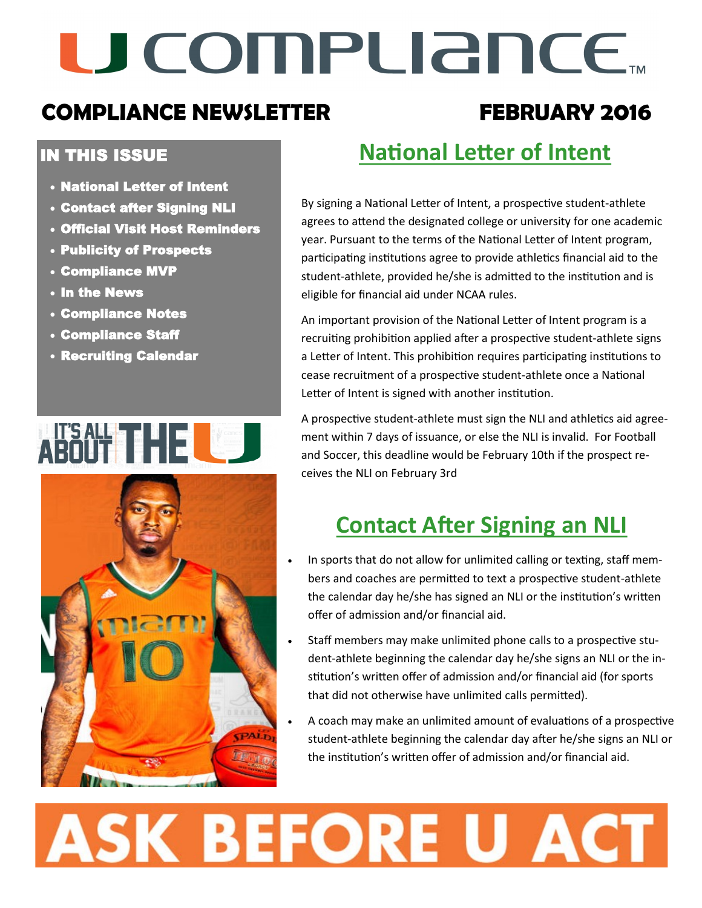# U COMPLIANCE.

### **COMPLIANCE NEWSLETTER FEBRUARY 2016**

#### IN THIS ISSUE

- National Letter of Intent
- Contact after Signing NLI
- Official Visit Host Reminders
- Publicity of Prospects
- Compliance MVP
- In the News
- Compliance Notes
- Compliance Staff
- Recruiting Calendar

## WIESKREIGHENDER



## **National Letter of Intent**

By signing a National Letter of Intent, a prospective student-athlete agrees to attend the designated college or university for one academic year. Pursuant to the terms of the National Letter of Intent program, participating institutions agree to provide athletics financial aid to the student-athlete, provided he/she is admitted to the institution and is eligible for financial aid under NCAA rules.

An important provision of the National Letter of Intent program is a recruiting prohibition applied after a prospective student-athlete signs a Letter of Intent. This prohibition requires participating institutions to cease recruitment of a prospective student-athlete once a National Letter of Intent is signed with another institution.

A prospective student-athlete must sign the NLI and athletics aid agreement within 7 days of issuance, or else the NLI is invalid. For Football and Soccer, this deadline would be February 10th if the prospect receives the NLI on February 3rd

### **Contact After Signing an NLI**

- In sports that do not allow for unlimited calling or texting, staff members and coaches are permitted to text a prospective student-athlete the calendar day he/she has signed an NLI or the institution's written offer of admission and/or financial aid.
- Staff members may make unlimited phone calls to a prospective student-athlete beginning the calendar day he/she signs an NLI or the institution's written offer of admission and/or financial aid (for sports that did not otherwise have unlimited calls permitted).
- A coach may make an unlimited amount of evaluations of a prospective student-athlete beginning the calendar day after he/she signs an NLI or the institution's written offer of admission and/or financial aid.

# **ASK BEFORE U ACT**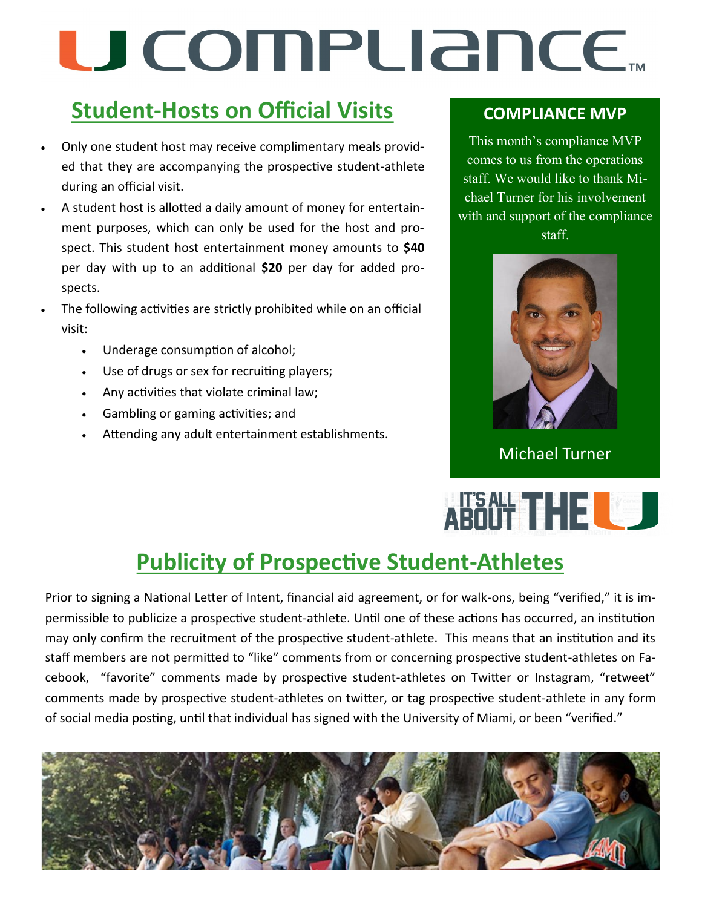# U COMPUANCE...

## **Student-Hosts on Official Visits**

- Only one student host may receive complimentary meals provided that they are accompanying the prospective student-athlete during an official visit.
- A student host is allotted a daily amount of money for entertainment purposes, which can only be used for the host and prospect. This student host entertainment money amounts to **\$40** per day with up to an additional **\$20** per day for added prospects.
- The following activities are strictly prohibited while on an official visit:
	- Underage consumption of alcohol;
	- Use of drugs or sex for recruiting players;
	- Any activities that violate criminal law;
	- Gambling or gaming activities; and
	- Attending any adult entertainment establishments.

#### **COMPLIANCE MVP**

This month's compliance MVP comes to us from the operations staff. We would like to thank Michael Turner for his involvement with and support of the compliance staff.



Michael Turner

## ABOOT THE LOD

## **Publicity of Prospective Student-Athletes**

Prior to signing a National Letter of Intent, financial aid agreement, or for walk-ons, being "verified," it is impermissible to publicize a prospective student-athlete. Until one of these actions has occurred, an institution may only confirm the recruitment of the prospective student-athlete. This means that an institution and its staff members are not permitted to "like" comments from or concerning prospective student-athletes on Facebook, "favorite" comments made by prospective student-athletes on Twitter or Instagram, "retweet" comments made by prospective student-athletes on twitter, or tag prospective student-athlete in any form of social media posting, until that individual has signed with the University of Miami, or been "verified."

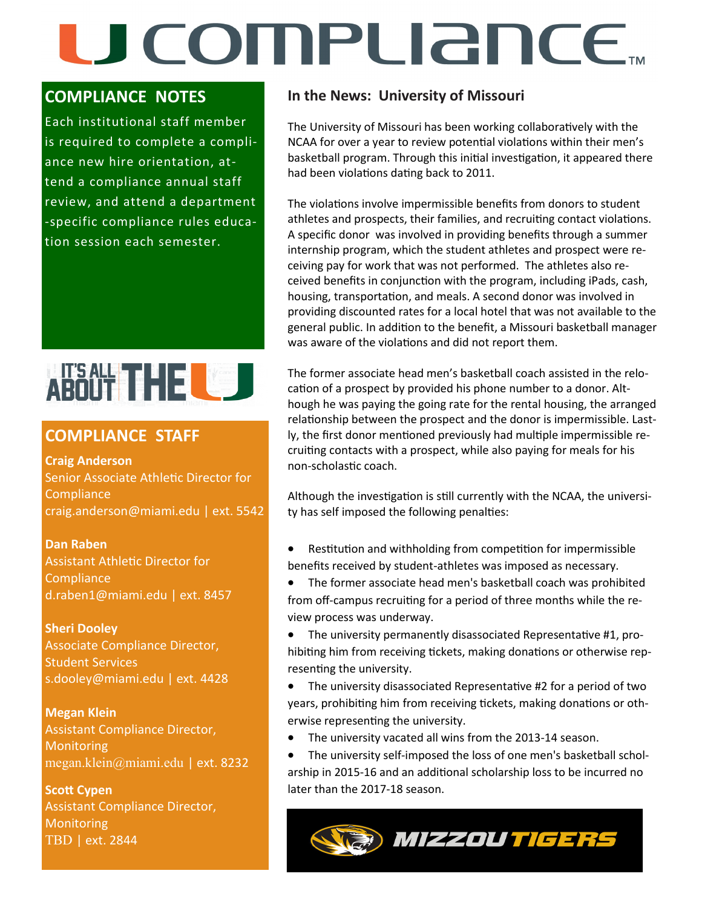# U COMPLIANCE.

#### **COMPLIANCE NOTES**

Each institutional staff member is required to complete a compliance new hire orientation, attend a compliance annual staff review, and attend a department -specific compliance rules education session each semester.



#### **COMPLIANCE STAFF**

**Craig Anderson**  Senior Associate Athletic Director for **Compliance** craig.anderson@miami.edu | ext. 5542

**Dan Raben**  Assistant Athletic Director for **Compliance** d.raben1@miami.edu | ext. 8457

#### **Sheri Dooley**

Associate Compliance Director, Student Services s.dooley@miami.edu | ext. 4428

**Megan Klein** Assistant Compliance Director, **Monitoring** megan.klein@miami.edu | ext. 8232

**Scott Cypen** Assistant Compliance Director, Monitoring TBD | ext. 2844

#### **In the News: University of Missouri**

The University of Missouri has been working collaboratively with the NCAA for over a year to review potential violations within their men's basketball program. Through this initial investigation, it appeared there had been violations dating back to 2011.

The violations involve impermissible benefits from donors to student athletes and prospects, their families, and recruiting contact violations. A specific donor was involved in providing benefits through a summer internship program, which the student athletes and prospect were receiving pay for work that was not performed. The athletes also received benefits in conjunction with the program, including iPads, cash, housing, transportation, and meals. A second donor was involved in providing discounted rates for a local hotel that was not available to the general public. In addition to the benefit, a Missouri basketball manager was aware of the violations and did not report them.

The former associate head men's basketball coach assisted in the relocation of a prospect by provided his phone number to a donor. Although he was paying the going rate for the rental housing, the arranged relationship between the prospect and the donor is impermissible. Lastly, the first donor mentioned previously had multiple impermissible recruiting contacts with a prospect, while also paying for meals for his non-scholastic coach.

Although the investigation is still currently with the NCAA, the university has self imposed the following penalties:

- Restitution and withholding from competition for impermissible benefits received by student-athletes was imposed as necessary.
- The former associate head men's basketball coach was prohibited from off-campus recruiting for a period of three months while the review process was underway.
- The university permanently disassociated Representative #1, prohibiting him from receiving tickets, making donations or otherwise representing the university.
- The university disassociated Representative #2 for a period of two years, prohibiting him from receiving tickets, making donations or otherwise representing the university.
- The university vacated all wins from the 2013-14 season.
- The university self-imposed the loss of one men's basketball scholarship in 2015-16 and an additional scholarship loss to be incurred no later than the 2017-18 season.